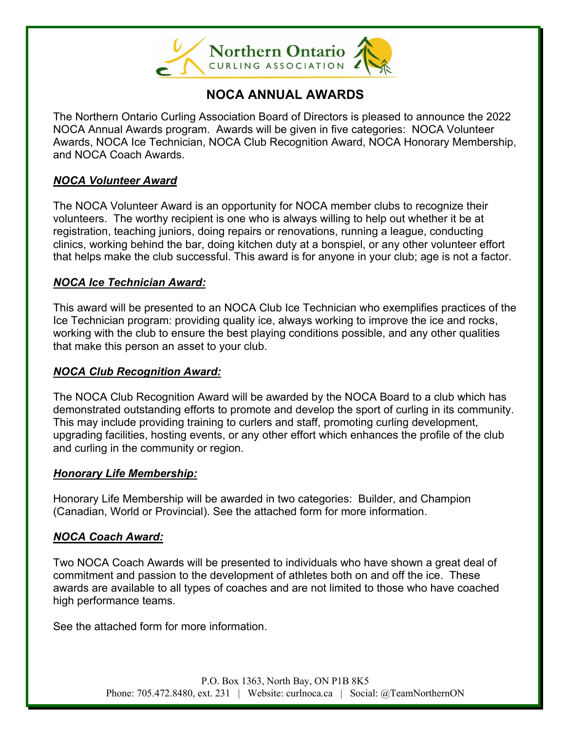

# **NOCA ANNUAL AWARDS**

The Northern Ontario Curling Association Board of Directors is pleased to announce the 2022 NOCA Annual Awards program. Awards will be given in five categories: NOCA Volunteer Awards, NOCA Ice Technician, NOCA Club Recognition Award, NOCA Honorary Membership, and NOCA Coach Awards.

# *NOCA Volunteer Award*

The NOCA Volunteer Award is an opportunity for NOCA member clubs to recognize their volunteers. The worthy recipient is one who is always willing to help out whether it be at registration, teaching juniors, doing repairs or renovations, running a league, conducting clinics, working behind the bar, doing kitchen duty at a bonspiel, or any other volunteer effort that helps make the club successful. This award is for anyone in your club; age is not a factor.

## *NOCA Ice Technician Award:*

This award will be presented to an NOCA Club Ice Technician who exemplifies practices of the Ice Technician program: providing quality ice, always working to improve the ice and rocks, working with the club to ensure the best playing conditions possible, and any other qualities that make this person an asset to your club.

## *NOCA Club Recognition Award:*

The NOCA Club Recognition Award will be awarded by the NOCA Board to a club which has demonstrated outstanding efforts to promote and develop the sport of curling in its community. This may include providing training to curlers and staff, promoting curling development, upgrading facilities, hosting events, or any other effort which enhances the profile of the club and curling in the community or region.

### *Honorary Life Membership:*

Honorary Life Membership will be awarded in two categories: Builder, and Champion (Canadian, World or Provincial). See the attached form for more information.

# *NOCA Coach Award:*

Two NOCA Coach Awards will be presented to individuals who have shown a great deal of commitment and passion to the development of athletes both on and off the ice. These awards are available to all types of coaches and are not limited to those who have coached high performance teams.

See the attached form for more information.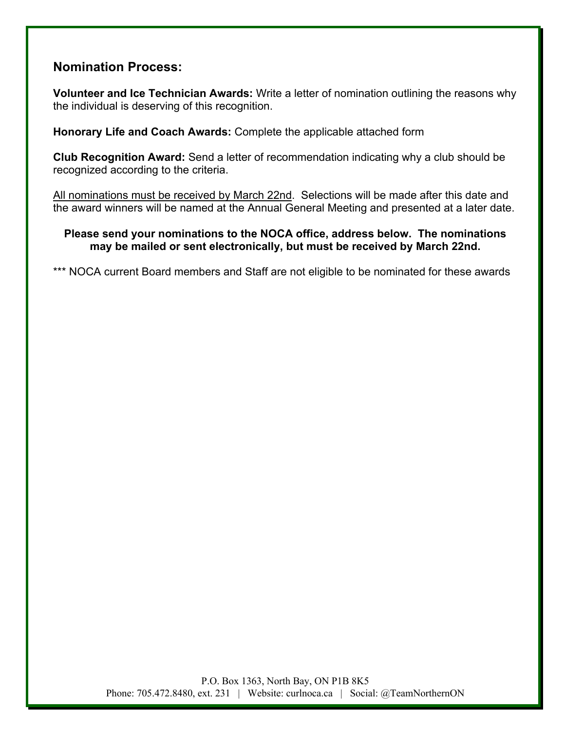# **Nomination Process:**

**Volunteer and Ice Technician Awards:** Write a letter of nomination outlining the reasons why the individual is deserving of this recognition.

**Honorary Life and Coach Awards:** Complete the applicable attached form

**Club Recognition Award:** Send a letter of recommendation indicating why a club should be recognized according to the criteria.

All nominations must be received by March 22nd. Selections will be made after this date and the award winners will be named at the Annual General Meeting and presented at a later date.

### **Please send your nominations to the NOCA office, address below. The nominations may be mailed or sent electronically, but must be received by March 22nd.**

\*\*\* NOCA current Board members and Staff are not eligible to be nominated for these awards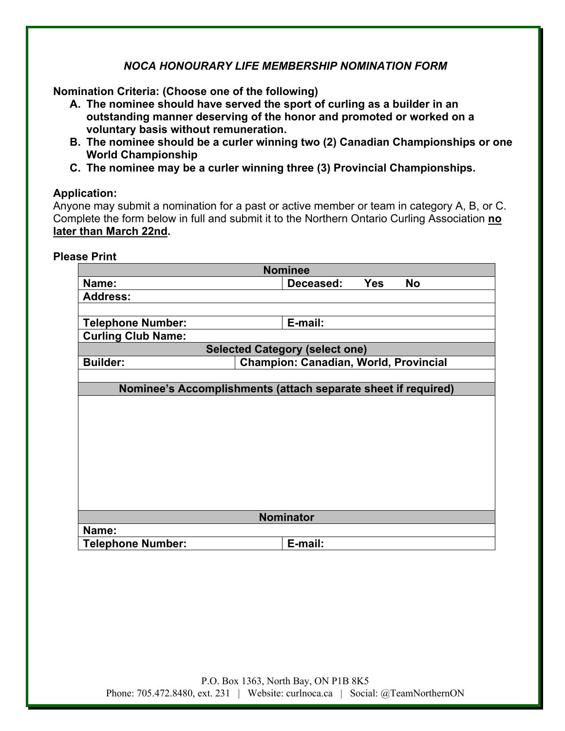## *NOCA HONOURARY LIFE MEMBERSHIP NOMINATION FORM*

**Nomination Criteria: (Choose one of the following)**

- **A. The nominee should have served the sport of curling as a builder in an outstanding manner deserving of the honor and promoted or worked on a voluntary basis without remuneration.**
- **B. The nominee should be a curler winning two (2) Canadian Championships or one World Championship**
- **C. The nominee may be a curler winning three (3) Provincial Championships.**

### **Application:**

Anyone may submit a nomination for a past or active member or team in category A, B, or C. Complete the form below in full and submit it to the Northern Ontario Curling Association **no later than March 22nd.**

| <b>Please Print</b> |  |  |
|---------------------|--|--|
|                     |  |  |

| <b>Nominee</b>                                                  |                                      |  |  |  |
|-----------------------------------------------------------------|--------------------------------------|--|--|--|
| Name:                                                           | <b>Yes</b><br><b>No</b><br>Deceased: |  |  |  |
| <b>Address:</b>                                                 |                                      |  |  |  |
|                                                                 |                                      |  |  |  |
| <b>Telephone Number:</b>                                        | E-mail:                              |  |  |  |
| <b>Curling Club Name:</b>                                       |                                      |  |  |  |
| <b>Selected Category (select one)</b>                           |                                      |  |  |  |
| <b>Champion: Canadian, World, Provincial</b><br><b>Builder:</b> |                                      |  |  |  |
|                                                                 |                                      |  |  |  |
| Nominee's Accomplishments (attach separate sheet if required)   |                                      |  |  |  |
|                                                                 |                                      |  |  |  |
|                                                                 |                                      |  |  |  |
|                                                                 |                                      |  |  |  |
|                                                                 |                                      |  |  |  |
|                                                                 |                                      |  |  |  |
|                                                                 |                                      |  |  |  |
|                                                                 |                                      |  |  |  |
|                                                                 |                                      |  |  |  |
|                                                                 |                                      |  |  |  |
| <b>Nominator</b>                                                |                                      |  |  |  |
| Name:                                                           |                                      |  |  |  |
| <b>Telephone Number:</b>                                        | E-mail:                              |  |  |  |